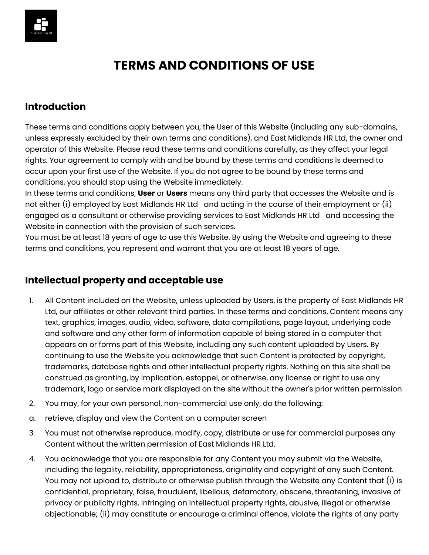

# **TERMS AND CONDITIONS OF USE**

#### **Introduction**

These terms and conditions apply between you, the User of this Website (including any sub-domains, unless expressly excluded by their own terms and conditions), and East Midlands HR Ltd, the owner and operator of this Website. Please read these terms and conditions carefully, as they affect your legal rights. Your agreement to comply with and be bound by these terms and conditions is deemed to occur upon your first use of the Website. If you do not agree to be bound by these terms and conditions, you should stop using the Website immediately.

In these terms and conditions, **User** or **Users** means any third party that accesses the Website and is not either (i) employed by East Midlands HR Ltd and acting in the course of their employment or (ii) engaged as a consultant or otherwise providing services to East Midlands HR Ltd and accessing the Website in connection with the provision of such services.

You must be at least 18 years of age to use this Website. By using the Website and agreeing to these terms and conditions, you represent and warrant that you are at least 18 years of age.

### **Intellectual property and acceptable use**

- 1. All Content included on the Website, unless uploaded by Users, is the property of East Midlands HR Ltd, our affiliates or other relevant third parties. In these terms and conditions, Content means any text, graphics, images, audio, video, software, data compilations, page layout, underlying code and software and any other form of information capable of being stored in a computer that appears on or forms part of this Website, including any such content uploaded by Users. By continuing to use the Website you acknowledge that such Content is protected by copyright, trademarks, database rights and other intellectual property rights. Nothing on this site shall be construed as granting, by implication, estoppel, or otherwise, any license or right to use any trademark, logo or service mark displayed on the site without the owner's prior written permission
- 2. You may, for your own personal, non-commercial use only, do the following:
- a. retrieve, display and view the Content on a computer screen
- 3. You must not otherwise reproduce, modify, copy, distribute or use for commercial purposes any Content without the written permission of East Midlands HR Ltd.
- 4. You acknowledge that you are responsible for any Content you may submit via the Website, including the legality, reliability, appropriateness, originality and copyright of any such Content. You may not upload to, distribute or otherwise publish through the Website any Content that (i) is confidential, proprietary, false, fraudulent, libellous, defamatory, obscene, threatening, invasive of privacy or publicity rights, infringing on intellectual property rights, abusive, illegal or otherwise objectionable; (ii) may constitute or encourage a criminal offence, violate the rights of any party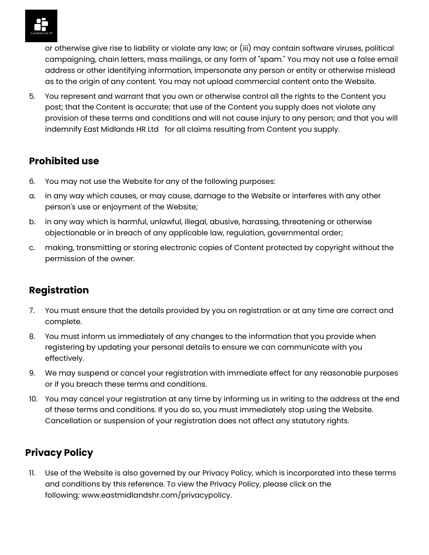

or otherwise give rise to liability or violate any law; or (iii) may contain software viruses, political campaigning, chain letters, mass mailings, or any form of "spam." You may not use a false email address or other identifying information, impersonate any person or entity or otherwise mislead as to the origin of any content. You may not upload commercial content onto the Website.

5. You represent and warrant that you own or otherwise control all the rights to the Content you post; that the Content is accurate; that use of the Content you supply does not violate any provision of these terms and conditions and will not cause injury to any person; and that you will indemnify East Midlands HR Ltd for all claims resulting from Content you supply.

### **Prohibited use**

- 6. You may not use the Website for any of the following purposes:
- a. in any way which causes, or may cause, damage to the Website or interferes with any other person's use or enjoyment of the Website;
- b. in any way which is harmful, unlawful, illegal, abusive, harassing, threatening or otherwise objectionable or in breach of any applicable law, regulation, governmental order;
- c. making, transmitting or storing electronic copies of Content protected by copyright without the permission of the owner.

### **Registration**

- 7. You must ensure that the details provided by you on registration or at any time are correct and complete.
- 8. You must inform us immediately of any changes to the information that you provide when registering by updating your personal details to ensure we can communicate with you effectively.
- 9. We may suspend or cancel your registration with immediate effect for any reasonable purposes or if you breach these terms and conditions.
- 10. You may cancel your registration at any time by informing us in writing to the address at the end of these terms and conditions. If you do so, you must immediately stop using the Website. Cancellation or suspension of your registration does not affect any statutory rights.

## **Privacy Policy**

11. Use of the Website is also governed by our Privacy Policy, which is incorporated into these terms and conditions by this reference. To view the Privacy Policy, please click on the following: www.eastmidlandshr.com/privacypolicy.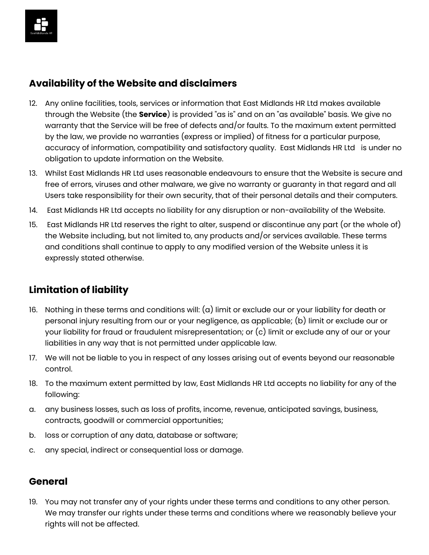

#### **Availability of the Website and disclaimers**

- 12. Any online facilities, tools, services or information that East Midlands HR Ltd makes available through the Website (the **Service**) is provided "as is" and on an "as available" basis. We give no warranty that the Service will be free of defects and/or faults. To the maximum extent permitted by the law, we provide no warranties (express or implied) of fitness for a particular purpose, accuracy of information, compatibility and satisfactory quality. East Midlands HR Ltd is under no obligation to update information on the Website.
- 13. Whilst East Midlands HR Ltd uses reasonable endeavours to ensure that the Website is secure and free of errors, viruses and other malware, we give no warranty or guaranty in that regard and all Users take responsibility for their own security, that of their personal details and their computers.
- 14. East Midlands HR Ltd accepts no liability for any disruption or non-availability of the Website.
- 15. East Midlands HR Ltd reserves the right to alter, suspend or discontinue any part (or the whole of) the Website including, but not limited to, any products and/or services available. These terms and conditions shall continue to apply to any modified version of the Website unless it is expressly stated otherwise.

### **Limitation of liability**

- 16. Nothing in these terms and conditions will: (a) limit or exclude our or your liability for death or personal injury resulting from our or your negligence, as applicable; (b) limit or exclude our or your liability for fraud or fraudulent misrepresentation; or (c) limit or exclude any of our or your liabilities in any way that is not permitted under applicable law.
- 17. We will not be liable to you in respect of any losses arising out of events beyond our reasonable control.
- 18. To the maximum extent permitted by law, East Midlands HR Ltd accepts no liability for any of the following:
- a. any business losses, such as loss of profits, income, revenue, anticipated savings, business, contracts, goodwill or commercial opportunities;
- b. loss or corruption of any data, database or software;
- c. any special, indirect or consequential loss or damage.

#### **General**

19. You may not transfer any of your rights under these terms and conditions to any other person. We may transfer our rights under these terms and conditions where we reasonably believe your rights will not be affected.